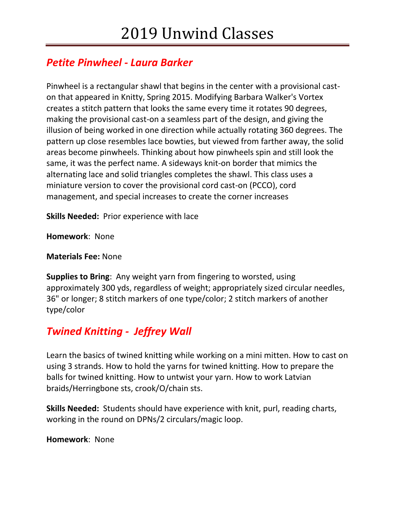# *Petite Pinwheel - Laura Barker*

Pinwheel is a rectangular shawl that begins in the center with a provisional caston that appeared in Knitty, Spring 2015. Modifying Barbara Walker's Vortex creates a stitch pattern that looks the same every time it rotates 90 degrees, making the provisional cast-on a seamless part of the design, and giving the illusion of being worked in one direction while actually rotating 360 degrees. The pattern up close resembles lace bowties, but viewed from farther away, the solid areas become pinwheels. Thinking about how pinwheels spin and still look the same, it was the perfect name. A sideways knit-on border that mimics the alternating lace and solid triangles completes the shawl. This class uses a miniature version to cover the provisional cord cast-on (PCCO), cord management, and special increases to create the corner increases

**Skills Needed:** Prior experience with lace

**Homework**: None

**Materials Fee:** None

**Supplies to Bring**: Any weight yarn from fingering to worsted, using approximately 300 yds, regardless of weight; appropriately sized circular needles, 36" or longer; 8 stitch markers of one type/color; 2 stitch markers of another type/color

# *Twined Knitting - Jeffrey Wall*

Learn the basics of twined knitting while working on a mini mitten. How to cast on using 3 strands. How to hold the yarns for twined knitting. How to prepare the balls for twined knitting. How to untwist your yarn. How to work Latvian braids/Herringbone sts, crook/O/chain sts.

**Skills Needed:** Students should have experience with knit, purl, reading charts, working in the round on DPNs/2 circulars/magic loop.

**Homework**: None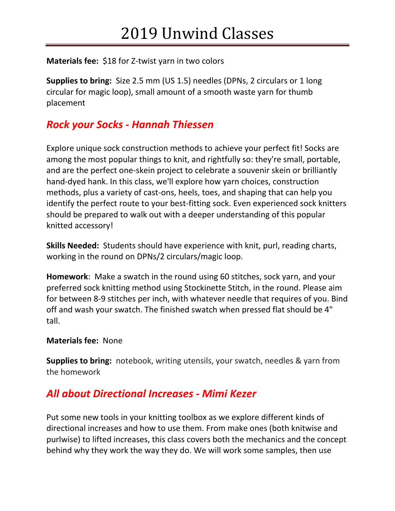#### **Materials fee:** \$18 for Z-twist yarn in two colors

**Supplies to bring:** Size 2.5 mm (US 1.5) needles (DPNs, 2 circulars or 1 long circular for magic loop), small amount of a smooth waste yarn for thumb placement

## *Rock your Socks - Hannah Thiessen*

Explore unique sock construction methods to achieve your perfect fit! Socks are among the most popular things to knit, and rightfully so: they're small, portable, and are the perfect one-skein project to celebrate a souvenir skein or brilliantly hand-dyed hank. In this class, we'll explore how yarn choices, construction methods, plus a variety of cast-ons, heels, toes, and shaping that can help you identify the perfect route to your best-fitting sock. Even experienced sock knitters should be prepared to walk out with a deeper understanding of this popular knitted accessory!

**Skills Needed:** Students should have experience with knit, purl, reading charts, working in the round on DPNs/2 circulars/magic loop.

**Homework**: Make a swatch in the round using 60 stitches, sock yarn, and your preferred sock knitting method using Stockinette Stitch, in the round. Please aim for between 8-9 stitches per inch, with whatever needle that requires of you. Bind off and wash your swatch. The finished swatch when pressed flat should be 4" tall.

#### **Materials fee:** None

**Supplies to bring:** notebook, writing utensils, your swatch, needles & yarn from the homework

### *All about Directional Increases - Mimi Kezer*

Put some new tools in your knitting toolbox as we explore different kinds of directional increases and how to use them. From make ones (both knitwise and purlwise) to lifted increases, this class covers both the mechanics and the concept behind why they work the way they do. We will work some samples, then use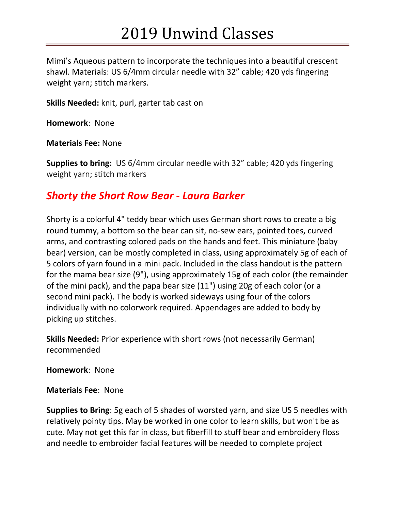# 2019 Unwind Classes

Mimi's Aqueous pattern to incorporate the techniques into a beautiful crescent shawl. Materials: US 6/4mm circular needle with 32" cable; 420 yds fingering weight yarn; stitch markers.

**Skills Needed:** knit, purl, garter tab cast on

**Homework**: None

**Materials Fee:** None

**Supplies to bring:** US 6/4mm circular needle with 32" cable; 420 yds fingering weight yarn; stitch markers

### *Shorty the Short Row Bear - Laura Barker*

Shorty is a colorful 4" teddy bear which uses German short rows to create a big round tummy, a bottom so the bear can sit, no-sew ears, pointed toes, curved arms, and contrasting colored pads on the hands and feet. This miniature (baby bear) version, can be mostly completed in class, using approximately 5g of each of 5 colors of yarn found in a mini pack. Included in the class handout is the pattern for the mama bear size (9"), using approximately 15g of each color (the remainder of the mini pack), and the papa bear size (11") using 20g of each color (or a second mini pack). The body is worked sideways using four of the colors individually with no colorwork required. Appendages are added to body by picking up stitches.

**Skills Needed:** Prior experience with short rows (not necessarily German) recommended

**Homework**: None

**Materials Fee**: None

**Supplies to Bring**: 5g each of 5 shades of worsted yarn, and size US 5 needles with relatively pointy tips. May be worked in one color to learn skills, but won't be as cute. May not get this far in class, but fiberfill to stuff bear and embroidery floss and needle to embroider facial features will be needed to complete project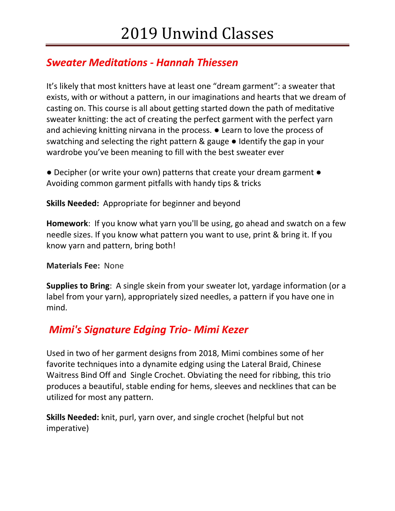# *Sweater Meditations - Hannah Thiessen*

It's likely that most knitters have at least one "dream garment": a sweater that exists, with or without a pattern, in our imaginations and hearts that we dream of casting on. This course is all about getting started down the path of meditative sweater knitting: the act of creating the perfect garment with the perfect yarn and achieving knitting nirvana in the process. ● Learn to love the process of swatching and selecting the right pattern & gauge ● Identify the gap in your wardrobe you've been meaning to fill with the best sweater ever

● Decipher (or write your own) patterns that create your dream garment ● Avoiding common garment pitfalls with handy tips & tricks

**Skills Needed:** Appropriate for beginner and beyond

**Homework**: If you know what yarn you'll be using, go ahead and swatch on a few needle sizes. If you know what pattern you want to use, print & bring it. If you know yarn and pattern, bring both!

**Materials Fee:** None

**Supplies to Bring**: A single skein from your sweater lot, yardage information (or a label from your yarn), appropriately sized needles, a pattern if you have one in mind.

## *Mimi's Signature Edging Trio- Mimi Kezer*

Used in two of her garment designs from 2018, Mimi combines some of her favorite techniques into a dynamite edging using the Lateral Braid, Chinese Waitress Bind Off and Single Crochet. Obviating the need for ribbing, this trio produces a beautiful, stable ending for hems, sleeves and necklines that can be utilized for most any pattern.

**Skills Needed:** knit, purl, yarn over, and single crochet (helpful but not imperative)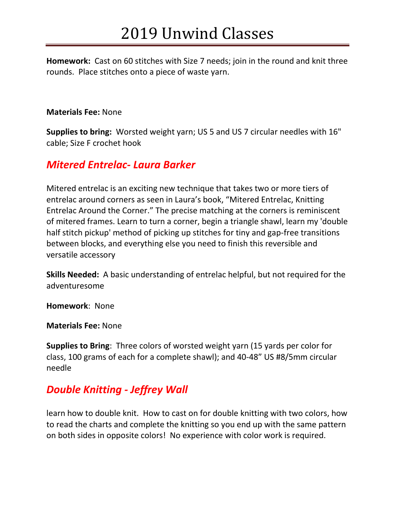**Homework:** Cast on 60 stitches with Size 7 needs; join in the round and knit three rounds. Place stitches onto a piece of waste yarn.

#### **Materials Fee:** None

**Supplies to bring:** Worsted weight yarn; US 5 and US 7 circular needles with 16" cable; Size F crochet hook

### *Mitered Entrelac- Laura Barker*

Mitered entrelac is an exciting new technique that takes two or more tiers of entrelac around corners as seen in Laura's book, "Mitered Entrelac, Knitting Entrelac Around the Corner." The precise matching at the corners is reminiscent of mitered frames. Learn to turn a corner, begin a triangle shawl, learn my 'double half stitch pickup' method of picking up stitches for tiny and gap-free transitions between blocks, and everything else you need to finish this reversible and versatile accessory

**Skills Needed:** A basic understanding of entrelac helpful, but not required for the adventuresome

**Homework**: None

**Materials Fee:** None

**Supplies to Bring**: Three colors of worsted weight yarn (15 yards per color for class, 100 grams of each for a complete shawl); and 40-48" US #8/5mm circular needle

## *Double Knitting - Jeffrey Wall*

learn how to double knit. How to cast on for double knitting with two colors, how to read the charts and complete the knitting so you end up with the same pattern on both sides in opposite colors! No experience with color work is required.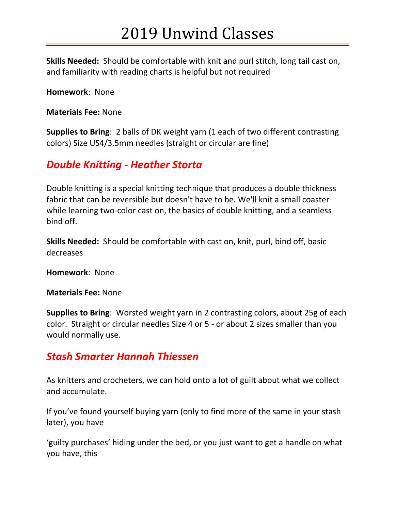# 2019 Unwind Classes

**Skills Needed:** Should be comfortable with knit and purl stitch, long tail cast on, and familiarity with reading charts is helpful but not required

**Homework**: None

**Materials Fee:** None

**Supplies to Bring**: 2 balls of DK weight yarn (1 each of two different contrasting colors) Size US4/3.5mm needles (straight or circular are fine)

## *Double Knitting - Heather Storta*

Double knitting is a special knitting technique that produces a double thickness fabric that can be reversible but doesn't have to be. We'll knit a small coaster while learning two-color cast on, the basics of double knitting, and a seamless bind off.

**Skills Needed:** Should be comfortable with cast on, knit, purl, bind off, basic decreases

**Homework**: None

**Materials Fee:** None

**Supplies to Bring**: Worsted weight yarn in 2 contrasting colors, about 25g of each color. Straight or circular needles Size 4 or 5 - or about 2 sizes smaller than you would normally use.

## *Stash Smarter Hannah Thiessen*

As knitters and crocheters, we can hold onto a lot of guilt about what we collect and accumulate.

If you've found yourself buying yarn (only to find more of the same in your stash later), you have

'guilty purchases' hiding under the bed, or you just want to get a handle on what you have, this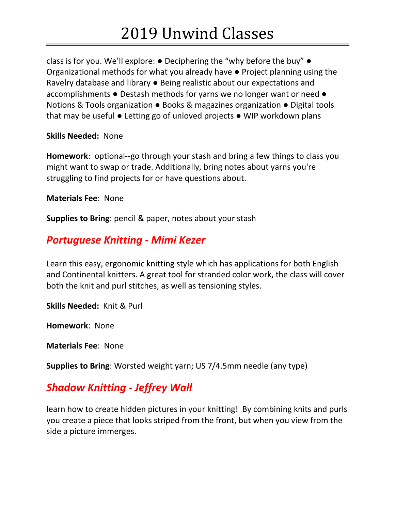# 2019 Unwind Classes

class is for you. We'll explore: ● Deciphering the "why before the buy" ● Organizational methods for what you already have ● Project planning using the Ravelry database and library ● Being realistic about our expectations and accomplishments ● Destash methods for yarns we no longer want or need ● Notions & Tools organization ● Books & magazines organization ● Digital tools that may be useful ● Letting go of unloved projects ● WIP workdown plans

**Skills Needed:** None

**Homework**: optional--go through your stash and bring a few things to class you might want to swap or trade. Additionally, bring notes about yarns you're struggling to find projects for or have questions about.

**Materials Fee**: None

**Supplies to Bring**: pencil & paper, notes about your stash

## *Portuguese Knitting - Mimi Kezer*

Learn this easy, ergonomic knitting style which has applications for both English and Continental knitters. A great tool for stranded color work, the class will cover both the knit and purl stitches, as well as tensioning styles.

**Skills Needed:** Knit & Purl

**Homework**: None

**Materials Fee**: None

**Supplies to Bring**: Worsted weight yarn; US 7/4.5mm needle (any type)

## *Shadow Knitting - Jeffrey Wall*

learn how to create hidden pictures in your knitting! By combining knits and purls you create a piece that looks striped from the front, but when you view from the side a picture immerges.